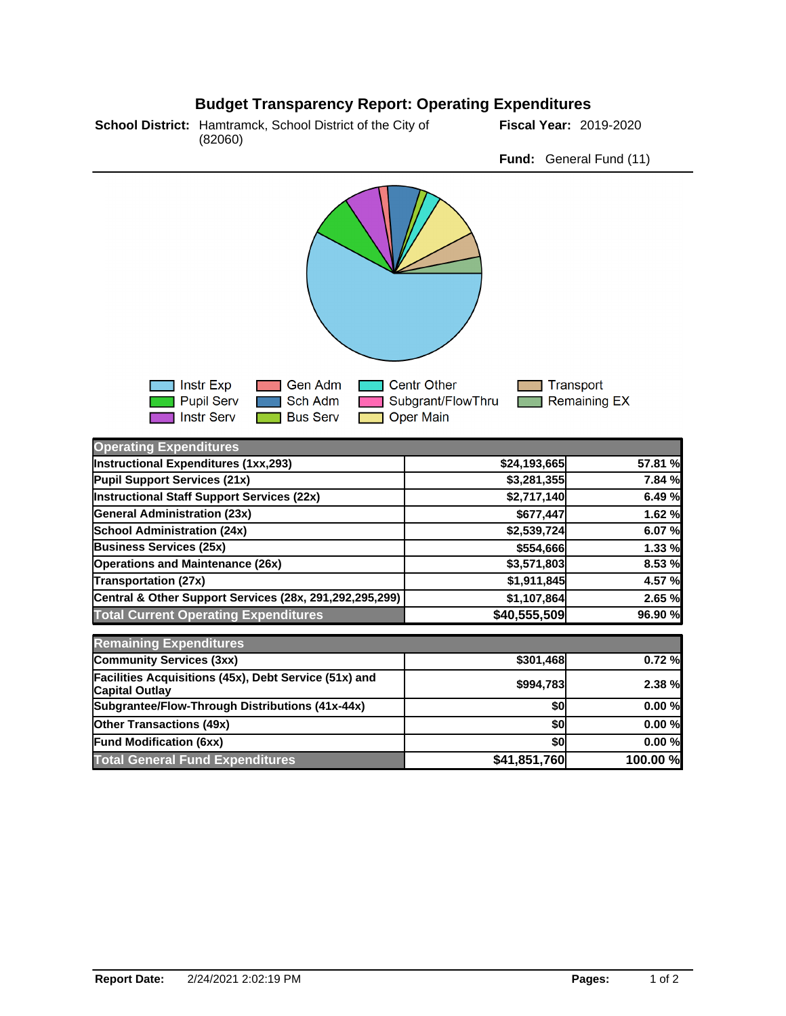## **Budget Transparency Report: Operating Expenditures**



**Fund:** General Fund (11)



| <b>Operating Expenditures</b>                                                  |              |          |
|--------------------------------------------------------------------------------|--------------|----------|
| Instructional Expenditures (1xx,293)                                           | \$24,193,665 | 57.81 %  |
| Pupil Support Services (21x)                                                   | \$3,281,355  | 7.84 %   |
| <b>Instructional Staff Support Services (22x)</b>                              | \$2,717,140  | 6.49 %   |
| <b>General Administration (23x)</b>                                            | \$677,447    | 1.62 %   |
| <b>School Administration (24x)</b>                                             | \$2,539,724  | 6.07 %   |
| <b>Business Services (25x)</b>                                                 | \$554,666    | 1.33 %   |
| <b>Operations and Maintenance (26x)</b>                                        | \$3,571,803  | 8.53 %   |
| <b>Transportation (27x)</b>                                                    | \$1,911,845  | 4.57 %   |
| Central & Other Support Services (28x, 291,292,295,299)                        | \$1,107,864  | 2.65 %   |
| <b>Total Current Operating Expenditures</b>                                    | \$40,555,509 | 96.90 %  |
| <b>Remaining Expenditures</b>                                                  |              |          |
| <b>Community Services (3xx)</b>                                                | \$301,468    | 0.72%    |
| Facilities Acquisitions (45x), Debt Service (51x) and<br><b>Capital Outlay</b> | \$994,783    | 2.38 %   |
| Subgrantee/Flow-Through Distributions (41x-44x)                                | \$0          | 0.00%    |
| <b>Other Transactions (49x)</b>                                                | \$0          | 0.00%    |
| <b>Fund Modification (6xx)</b>                                                 | \$0          | 0.00%    |
| <b>Total General Fund Expenditures</b>                                         | \$41,851,760 | 100.00 % |